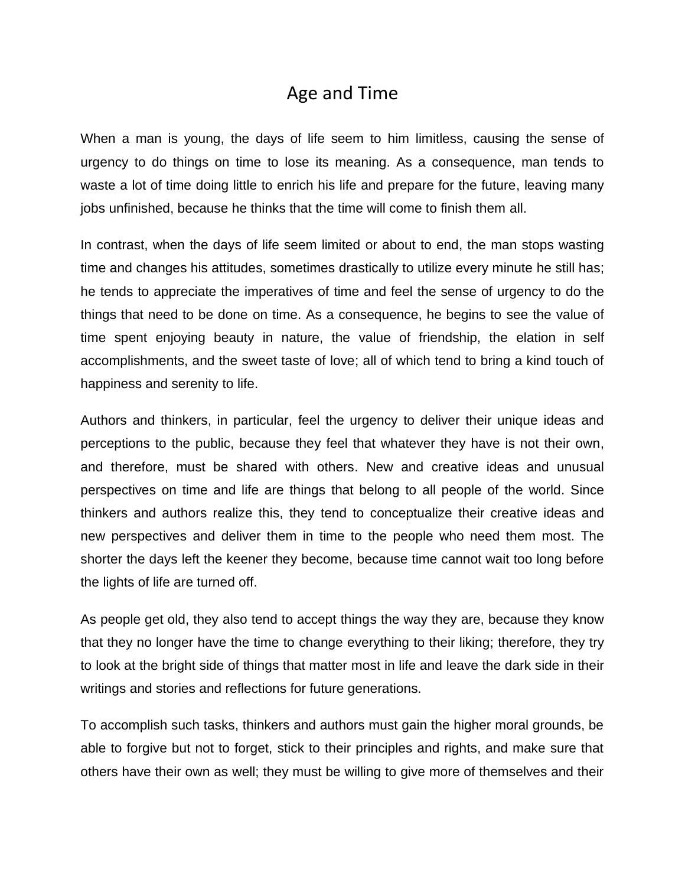## Age and Time

When a man is young, the days of life seem to him limitless, causing the sense of urgency to do things on time to lose its meaning. As a consequence, man tends to waste a lot of time doing little to enrich his life and prepare for the future, leaving many jobs unfinished, because he thinks that the time will come to finish them all.

In contrast, when the days of life seem limited or about to end, the man stops wasting time and changes his attitudes, sometimes drastically to utilize every minute he still has; he tends to appreciate the imperatives of time and feel the sense of urgency to do the things that need to be done on time. As a consequence, he begins to see the value of time spent enjoying beauty in nature, the value of friendship, the elation in self accomplishments, and the sweet taste of love; all of which tend to bring a kind touch of happiness and serenity to life.

Authors and thinkers, in particular, feel the urgency to deliver their unique ideas and perceptions to the public, because they feel that whatever they have is not their own, and therefore, must be shared with others. New and creative ideas and unusual perspectives on time and life are things that belong to all people of the world. Since thinkers and authors realize this, they tend to conceptualize their creative ideas and new perspectives and deliver them in time to the people who need them most. The shorter the days left the keener they become, because time cannot wait too long before the lights of life are turned off.

As people get old, they also tend to accept things the way they are, because they know that they no longer have the time to change everything to their liking; therefore, they try to look at the bright side of things that matter most in life and leave the dark side in their writings and stories and reflections for future generations.

To accomplish such tasks, thinkers and authors must gain the higher moral grounds, be able to forgive but not to forget, stick to their principles and rights, and make sure that others have their own as well; they must be willing to give more of themselves and their